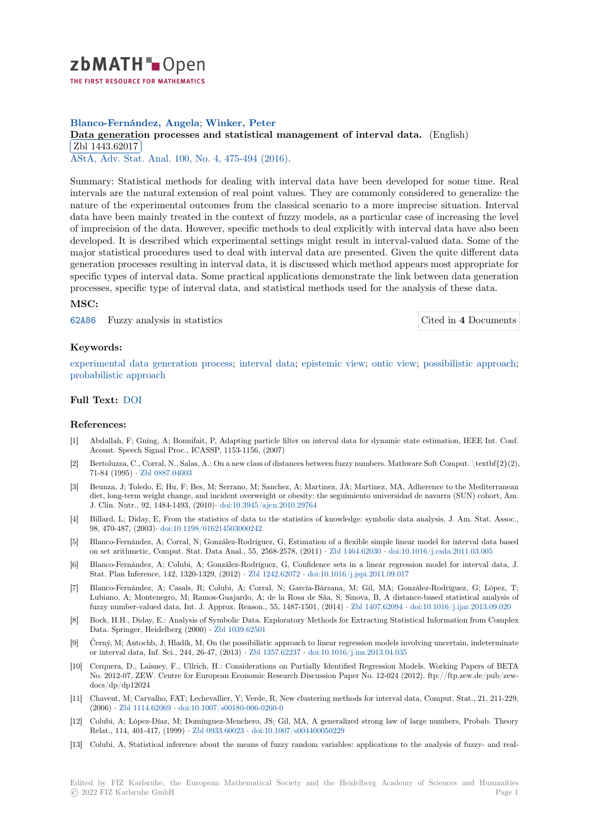

# **Blanco-Fernández, Angela**; **Winker, Peter**

[D](https://zbmath.org/)ata generation processes and statistical management of interval data. (English) Zbl 1443.62017

AStA, Adv. Stat. Anal. 100, No. 4, 475-494 (2016).

[Summary: Statistical methods for dealing with interval data have been develope](https://zbmath.org/1443.62017)d for some time. Real [intervals are the n](https://zbmath.org/1443.62017)atural extension of real point values. They are commonly considered to generalize the [nature of the experimen](https://zbmath.org/journals/?q=se:6188)[tal outcomes from the clas](https://zbmath.org/?q=in:359637)sical scenario to a more imprecise situation. Interval data have been mainly treated in the context of fuzzy models, as a particular case of increasing the level of imprecision of the data. However, specific methods to deal explicitly with interval data have also been developed. It is described which experimental settings might result in interval-valued data. Some of the major statistical procedures used to deal with interval data are presented. Given the quite different data generation processes resulting in interval data, it is discussed which method appears most appropriate for specific types of interval data. Some practical applications demonstrate the link between data generation processes, specific type of interval data, and statistical methods used for the analysis of these data.

#### **MSC:**

62A86 Fuzzy analysis in statistics Cited in **4** Documents

### **Keywords:**

[experi](https://zbmath.org/classification/?q=cc:62A86)mental data generation process; interval data; epistemic view; ontic view; [possibilistic approach;](https://zbmath.org/?q=rf:1443.62017|6976391) probabilistic approach

## **Full Text:** DOI

#### **[References:](https://zbmath.org/?q=ut:probabilistic+approach)**

- [1] Abdallah, F; Gning, A; Bonnifait, P, Adapting particle filter on interval data for dynamic state estimation, IEEE Int. Conf. Acoust.S[peech](https://dx.doi.org/10.1007/s10182-016-0274-z) Signal Proc., ICASSP, 1153-1156, (2007)
- [2] Bertoluzza, C., Corral, N., Salas, A.: On a new class of distances between fuzzy numbers. Mathware Soft Comput. \textbf{2}(2), 71-84 (1995) *·* Zbl 0887.04003
- [3] Beunza, J; Toledo, E; Hu, F; Bes, M; Serrano, M; Sanchez, A; Martinez, JA; Martinez, MA, Adherence to the Mediterranean diet, long-term weight change, and incident overweight or obesity: the seguimiento universidad de navarra (SUN) cohort, Am. J. Clin. Nutr., 92, 1484-1493, (2010)*·* doi:10.3945/ajcn.2010.29764
- [4] Billard, L; Di[day, E, From th](https://zbmath.org/0887.04003)e statistics of data to the statistics of knowledge: symbolic data analysis, J. Am. Stat. Assoc., 98, 470-487, (2003)*·* doi:10.1198/016214503000242
- [5] Blanco-Fernández, A; Corral, N; González-Rodríguez, G, Estimation of a flexible simple linear model for interval data based on set arithmetic, Comput. Stat. Dat[a Anal., 55, 2568-2578, \(2011](https://dx.doi.org/10.3945/ajcn.2010.29764)) *·* Zbl 1464.62030 *·* doi:10.1016/j.csda.2011.03.005
- [6] Blanco-Fernández, A; Colubi, A; González-Rodríguez, G, Confidence sets in a linear regression model for interval data, J. Stat. Plan Inference[, 142, 1320-1329, \(2012\)](https://dx.doi.org/10.1198/016214503000242) *·* Zbl 1242.62072 *·* doi:10.1016/j.jspi.2011.09.017
- [7] Blanco-Fernández, A; Casals, R; Colubi, A; Corral, N; García-Bárzana, M; Gil, MA; González-Rodríguez, G; López, T; Lubiano, A; Montenegro, M; Ramos-Guajardo, A; de la Rosa de Sá[a, S; Sinova, B,](https://zbmath.org/1464.62030) [A distance-based statistical ana](https://dx.doi.org/10.1016/j.csda.2011.03.005)lysis of fuzzy number-valued data, Int. J. Approx. Reason., 55, 1487-1501, (2014) *·* Zbl 1407.62094 *·* doi:10.1016/j.ijar.2013.09.020
- [8] Bock, H.H., Diday, E.: Analysis of Symbolic D[ata. Explorator](https://zbmath.org/1242.62072)y [Methods for Extracting Statis](https://dx.doi.org/10.1016/j.jspi.2011.09.017)tical Information from Complex Data. Springer, Heidelberg (2000) *·* Zbl 1039.62501
- [9] Černý, M; Antochb, J; Hladík, M, On the possibilistic approach to linear regression models involving uncertain, indeterminate or interval data, Inf. Sci., 244, 26-47, (2013) *·* Zbl 1357.62237 *·* doi:10.1016/[j.ins.2013.04.03](https://zbmath.org/1407.62094)5
- [10] Cerquera, D., Laisney, F., Ullrich, H.: Considerations on Partially Identified Regression Models. Working Papers of BETA No. 2012-07, ZEW. Centre for Euro[pean Economic](https://zbmath.org/1039.62501) Research Discussion Paper No. 12-024 (2012). ftp://ftp.zew.de/pub/zewdocs/dp/dp12024
- [11] Chavent, M; Carvalho, FAT; Lechevallier, Y; [Verde, R, New c](https://zbmath.org/1357.62237)lu[stering methods for interval d](https://dx.doi.org/10.1016/j.ins.2013.04.035)ata, Comput. Stat., 21, 211-229, (2006) *·* Zbl 1114.62069 *·* doi:10.1007/s00180-006-0260-0
- [12] Colubi, A; López-Díaz, M; Domínguez-Menchero, JS; Gil, MA, A generalized strong law of large numbers, Probab. Theory Relat., 114, 401-417, (1999) *·* Zbl 0933.60023 *·* doi:10.1007/s004400050229
- [13] Colubi, A, Statistical inference about the means of fuzzy random variables: applications to the analysis of fuzzy- and real-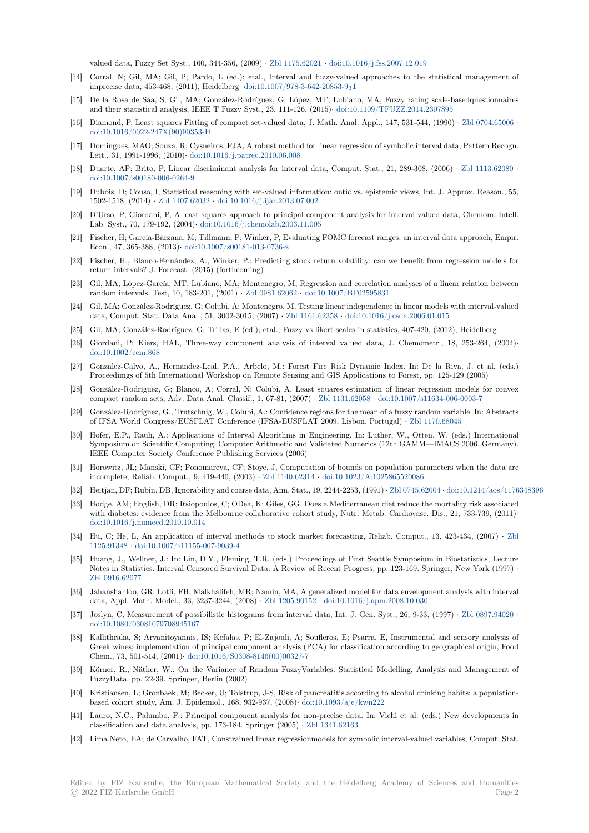valued data, Fuzzy Set Syst., 160, 344-356, (2009) *·* Zbl 1175.62021 *·* doi:10.1016/j.fss.2007.12.019

- [14] Corral, N; Gil, MA; Gil, P; Pardo, L (ed.); etal., Interval and fuzzy-valued approaches to the statistical management of imprecise data, 453-468, (2011), Heidelberg*·* doi:10.1007/978-3-642-20853-931
- [15] De la Rosa de Sáa, S; Gil, MA; González-Rodríguez, G; López, MT; Lubiano, MA, Fuzzy rating scale-basedquestionnaires and their statistical analysis, IEEE T Fuzzy Syst.,2[3, 111-126, \(201](https://zbmath.org/1175.62021)5)*·* [doi:10.1109/TFUZZ.2014.2](https://dx.doi.org/10.1016/j.fss.2007.12.019)307895
- [16] Diamond, P, Least squares Fitting of compact set-valued data, J. Math. Anal. Appl., 147, 531-544, (1990) *·* Zbl 0704.65006 *·* doi:10.1016/0022-247X(90)90353-H
- [17] Domingues, MAO; Souza, R; Cysneiros, FJA, A robust method for linear regression of symbolic interval data, Pattern Recogn. Lett., 31, 1991-1996, (2010)*·* doi:10.1016/j.patrec.2010.06.008
- [18] Duarte, AP; Brito, P, Linear discriminant analysis for interval data, Comput. Stat., 21, 289-308, (2006) *·* [Zbl 1113.62080](https://zbmath.org/0704.65006) *·* [doi:10.1007/s00180-006-0264-9](https://dx.doi.org/10.1016/0022-247X(90)90353-H)
- [19] Dubois, D; Couso, I, Statistical reasoning with set-valued information: ontic vs. epistemic views, Int. J. Approx. Reason., 55, 1502-1518, (2014) *·* Zbl 1407.62032 *·* [doi:10.1016/j.ijar.2013.07](https://dx.doi.org/10.1016/j.patrec.2010.06.008).002
- [20] D'Urso, P; Giordani, P, A least squares approach to principal component analysis for interval valued data, [Chemom. Intel](https://zbmath.org/1113.62080)l. [Lab. Syst., 70, 179-192, \(2004\)](https://dx.doi.org/10.1007/s00180-006-0264-9)*·* doi:10.1016/j.chemolab.2003.11.005
- [21] Fischer, H; García-Bárzana, M; Tillmann, P; Winker, P, Evaluating FOMC forecast ranges: an interval data approach, Empir. Econ., 47, 365-388, (2013)*·* [doi:10.1](https://zbmath.org/1407.62032)0[07/s00181-013-0736-z](https://dx.doi.org/10.1016/j.ijar.2013.07.002)
- [22] Fischer, H., Blanco-Fernández, A., Winker, P.: Predicting stock return volatility: can we benefit from regression models for return intervals? J. Forecast. (2[015\) \(forthcoming\)](https://dx.doi.org/10.1016/j.chemolab.2003.11.005)
- [23] Gil, MA; López-García, MT; Lubiano, MA; Montenegro, M, Regression and correlation analyses of a linear relation between random intervals, Test, 10, [183-201, \(2001\)](https://dx.doi.org/10.1007/s00181-013-0736-z) *·* Zbl 0981.62062 *·* doi:10.1007/BF02595831
- [24] Gil, MA; González-Rodríguez, G; Colubi, A; Montenegro, M, Testing linear independence in linear models with interval-valued data, Comput. Stat. Data Anal., 51, 3002-3015, (2007) *·* Zbl 1161.62358 *·* doi:10.1016/j.csda.2006.01.015
- [25] Gil, MA; González-Rodríguez, G; Trillas, E (ed.); etal., Fuzzy vs likert scales in statistics, 407-420, (2012), Heidelberg
- [26] Giordani, P; Kiers, HAL, Three-way comp[onent analysis](https://zbmath.org/0981.62062)o[f interval valued data, J](https://dx.doi.org/10.1007/BF02595831). Chemometr., 18, 253-264, (2004)*·* doi:10.1002/cem.868
- [27] Gonzalez-Calvo, A., Hernandez-Leal, P.A., Arbelo, M.: [Forest Fire Ri](https://zbmath.org/1161.62358)s[k Dynamic Index. In: De la R](https://dx.doi.org/10.1016/j.csda.2006.01.015)iva, J. et al. (eds.) Proceedimgs of 5th International Workshop on Remote Sensing and GIS Applications to Forest, pp. 125-129 (2005)
- [28] González-Rodríguez, G; Blanco, A; Corral, N; Colubi, A, Least squares estimation of linear regression models for convex [compact random sets](https://dx.doi.org/10.1002/cem.868), Adv. Data Anal. Classif., 1, 67-81, (2007) *·* Zbl 1131.62058 *·* doi:10.1007/s11634-006-0003-7
- [29] González-Rodríguez, G., Trutschnig, W., Colubi, A.: Confidence regions for the mean of a fuzzy random variable. In: Abstracts of IFSA World Congress/EUSFLAT Conference (IFSA-EUSFLAT 2009, Lisbon, Portugal) *·* Zbl 1170.68045
- [30] Hofer, E.P., Rauh, A.: Applications of Interval Algorithms in Engineering. In: Luther, W., Otten, W. (eds.) International Symposium on Scientific Computing, Computer Arithmetic and V[alidated Numeri](https://zbmath.org/1131.62058)cs [\(12th GAMM—IMACS 2006, G](https://dx.doi.org/10.1007/s11634-006-0003-7)ermany). IEEE Computer Society Conference Publishing Services (2006)
- [31] Horowitz, JL; Manski, CF; Ponomareva, CF; Stoye, J, Computation of bounds on populatio[n parameters wh](https://zbmath.org/1170.68045)en the data are incomplete, Reliab. Comput., 9, 419-440, (2003) *·* Zbl 1140.62314 *·* doi:10.1023/A:1025865520086
- [32] Heitjan, DF; Rubin, DB, Ignorability and coarse data, Ann. Stat., 19, 2244-2253, (1991) *·* Zbl 0745.62004 *·* doi:10.1214/aos/1176348396
- [33] Hodge, AM; English, DR; Itsiopoulos, C; ODea, K; Giles, GG, Does a Mediterranean diet reduce the mortality risk associated with diabetes: evidence from the Melbourne collaborative cohort study, Nutr. Metab. Cardiovasc. Dis., 21, 733-739, (2011)<sup>*·*</sup> doi:10.1016/j.numecd.2010.10.014
- [34] Hu, C; He, L, An application of interval methods to stock market forecasting, Relia[b. Comput., 13,](https://zbmath.org/0745.62004) [423-434, \(2007\)](https://dx.doi.org/10.1214/aos/1176348396) *·* Zbl 1125.91348 *·* doi:10.1007/s11155-007-9039-4
- [35] Huang, J., Wellner, J.: In: Lin, D.Y., Fleming, T.R. (eds.) Proceedings of First Seattle Symposium in Biostatistics, Lecture [Notes in Statistics. Interval Censo](https://dx.doi.org/10.1016/j.numecd.2010.10.014)red Survival Data: A Review of Recent Progress, pp. 123-169. Springer, New York (1997) *·* Zbl 0916.62077
- [36] [Jahanshahl](https://zbmath.org/1125.91348)o[o, GR; Lotfi, FH; Malkhalifeh, M](https://dx.doi.org/10.1007/s11155-007-9039-4)R; Namin, MA, A generalized model for data envelopment analysis with inte[rval](https://zbmath.org/1125.91348) data, Appl. Math. Model., 33, 3237-3244, (2008) *·* Zbl 1205.90152 *·* doi:10.1016/j.apm.2008.10.030
- [37] Joslyn, C, Measurement of possibilistic histograms from interval data, Int. J. Gen. Syst., 26, 9-33, (1997) *·* Zbl 0897.94020 *·* [doi:10.1080/030](https://zbmath.org/0916.62077)81079708945167
- [38] Kallithraka, S; Arvanitoyannis, IS; Kefalas, P; El-Zajouli, A; Soufleros, E; Psarra, E, Instrumental and sensory analysis of Greek wines; implementation of principal compon[ent analysis \(PC](https://zbmath.org/1205.90152)[A\) for classification according to](https://dx.doi.org/10.1016/j.apm.2008.10.030) geographical origin, Food Chem., 73, 501-514, (2001)*·* doi:10.1016/S0308-8146(00)00327-7
- [39] [Körner, R., Näther, W.: On th](https://dx.doi.org/10.1080/03081079708945167)e Variance of Random FuzzyVariables. Statistical Modelling, Analysis and [Management o](https://zbmath.org/0897.94020)f FuzzyData, pp. 22-39. Springer, Berlin (2002)
- [40] Kristiansen, L; Gronbaek, M; Becker, U; Tolstrup, J-S, Risk of pancreatitis according to alcohol drinking habits: a populationbased cohort study, Am. J. [Epidemiol., 168, 932-937, \(2008\)](https://dx.doi.org/10.1016/S0308-8146(00)00327-7)*·* doi:10.1093/aje/kwn222
- [41] Lauro, N.C., Palumbo, F.: Principal component analysis for non-precise data. In: Vichi et al. (eds.) New developments in classification and data analysis, pp. 173-184. Springer (2005) *·* Zbl 1341.62163
- [42] Lima Neto, EA; de Carvalho, FAT, Constrained linear regressionmodels for symbolic interval-valued variables, Comput. Stat.